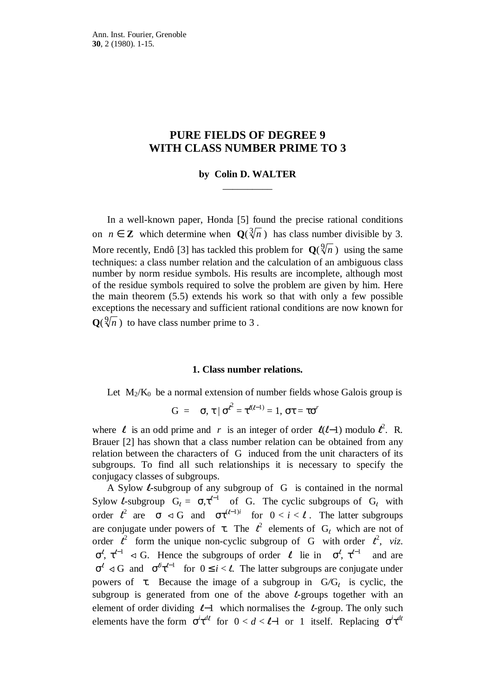# **PURE FIELDS OF DEGREE 9 WITH CLASS NUMBER PRIME TO 3**

## **by Colin D. WALTER** \_\_\_\_\_\_\_\_\_\_

In a well-known paper, Honda [5] found the precise rational conditions on *n* ∈ **Z** which determine when  $\mathbf{Q}(\sqrt{3}/n)$  has class number divisible by 3. More recently, Endô [3] has tackled this problem for  $Q(\sqrt[9]{n})$  using the same techniques: a class number relation and the calculation of an ambiguous class number by norm residue symbols. His results are incomplete, although most of the residue symbols required to solve the problem are given by him. Here the main theorem (5.5) extends his work so that with only a few possible exceptions the necessary and sufficient rational conditions are now known for  $\mathbf{Q}(\sqrt[9]{n})$  to have class number prime to 3.

#### **1. Class number relations.**

Let  $M_2/K_0$  be a normal extension of number fields whose Galois group is

$$
G = \langle \sigma, \tau | \sigma^{\ell^2} = \tau^{\ell(\ell-1)} = 1, \sigma\tau = \tau\sigma^r \rangle
$$

where  $\ell$  is an odd prime and *r* is an integer of order  $\ell(\ell-1)$  modulo  $\ell^2$ . R. Brauer [2] has shown that a class number relation can be obtained from any relation between the characters of G induced from the unit characters of its subgroups. To find all such relationships it is necessary to specify the conjugacy classes of subgroups.

A Sylow  $\ell$ -subgroup of any subgroup of G is contained in the normal Sylow *L*-subgroup  $G_t = \langle \sigma, \tau^{t-1} \rangle$  of G. The cyclic subgroups of  $G_t$  with order  $\ell^2$  are  $\langle \sigma \rangle \triangleleft G$  and  $\langle \sigma \tau^{(\ell-1)i} \rangle$  for  $0 < i < \ell$ . The latter subgroups are conjugate under powers of  $\tau$ . The  $\ell^2$  elements of  $G_\ell$  which are not of order  $\ell^2$  form the unique non-cyclic subgroup of G with order  $\ell^2$ , *viz.*  $\langle \sigma^{\ell}, \tau^{\ell-1} \rangle \triangleleft G$ . Hence the subgroups of order  $\ell$  lie in  $\langle \sigma^{\ell}, \tau^{\ell-1} \rangle$  and are  $\langle \sigma^{\ell} \rangle \triangleleft G$  and  $\langle \sigma^{i\ell} \tau^{i\ell} \rangle$  for  $0 \leq i < l$ . The latter subgroups are conjugate under powers of  $\tau$ . Because the image of a subgroup in  $G/G_l$  is cyclic, the subgroup is generated from one of the above  $\ell$ -groups together with an element of order dividing  $l-1$  which normalises the  $l$ -group. The only such elements have the form  $\sigma^i \tau^{d\ell}$  for  $0 < d < \ell$ -1 or 1 itself. Replacing  $\sigma^i \tau^{d\ell}$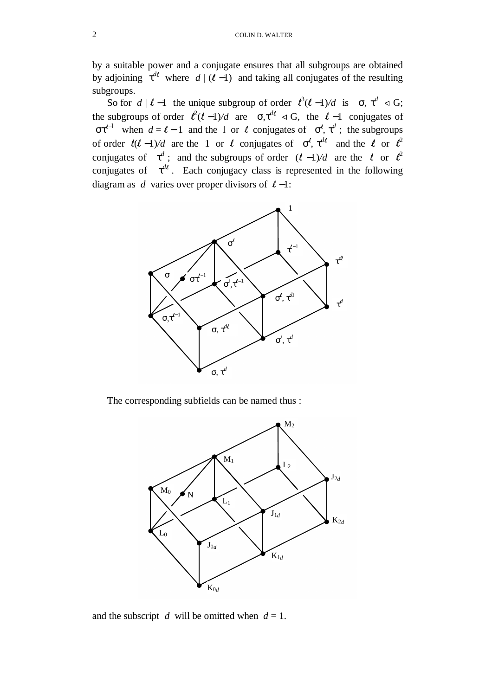by a suitable power and a conjugate ensures that all subgroups are obtained by adjoining  $\tau^{dt}$  where  $d \mid (\ell - 1)$  and taking all conjugates of the resulting subgroups.

So for  $d | \ell -1$  the unique subgroup of order  $\ell^3(\ell -1)/d$  is  $\langle \sigma, \tau^d \rangle \triangleleft G;$ the subgroups of order  $\ell^2(\ell-1)/d$  are  $\langle \sigma, \tau^{d\ell} \rangle \triangleleft G$ , the  $\ell-1$  conjugates of  $\langle \sigma \tau^{\ell-1} \rangle$  when  $d = \ell - 1$  and the 1 or  $\ell$  conjugates of  $\langle \sigma^{\ell}, \tau^{\ell} \rangle$ ; the subgroups of order  $\ell(\ell-1)/d$  are the 1 or  $\ell$  conjugates of  $\langle \sigma^{\ell}, \tau^{d\ell} \rangle$  and the  $\ell$  or  $\ell^2$ conjugates of  $\langle \tau^d \rangle$ ; and the subgroups of order  $(\ell -1)/d$  are the  $\ell$  or  $\ell^2$ conjugates of  $\langle \tau^{d\ell} \rangle$ . Each conjugacy class is represented in the following diagram as *d* varies over proper divisors of  $\ell$  –1:



The corresponding subfields can be named thus :



and the subscript *d* will be omitted when  $d = 1$ .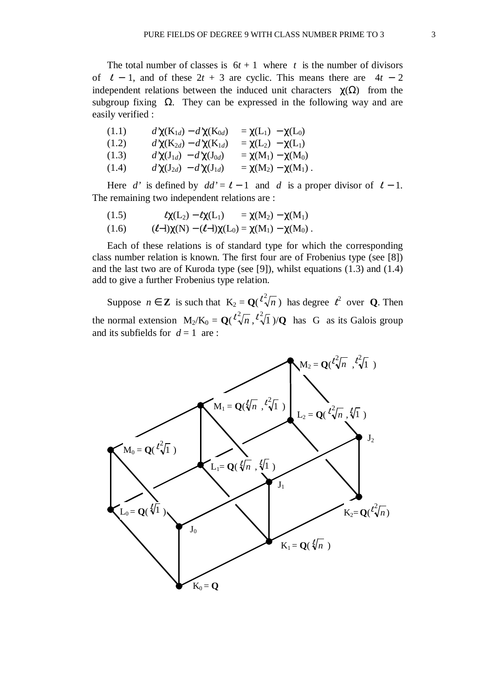The total number of classes is  $6t + 1$  where *t* is the number of divisors of  $\ell - 1$ , and of these  $2t + 3$  are cyclic. This means there are  $4t - 2$ independent relations between the induced unit characters  $\chi(\Omega)$  from the subgroup fixing  $\Omega$ . They can be expressed in the following way and are easily verified :

(1.1) 
$$
d^{\prime} \chi(K_{1d}) - d^{\prime} \chi(K_{0d}) = \chi(L_1) - \chi(L_0)
$$
  
(1.2) 
$$
d^{\prime} \chi(K_{2d}) - d^{\prime} \chi(K_{1d}) = \chi(L_2) - \chi(L_1)
$$
  
(1.3) 
$$
d^{\prime} \chi(J_{1d}) - d^{\prime} \chi(J_{0d}) = \chi(M_1) - \chi(M_0)
$$

(1.4)  $d^{\prime}\chi(J_{2d}) - d^{\prime}\chi(J_{1d}) = \chi(M_2) - \chi(M_1)$ .

Here *d'* is defined by  $dd' = \ell - 1$  and *d* is a proper divisor of  $\ell - 1$ . The remaining two independent relations are :

- (1.5)  $\ell \chi(L_2) \ell \chi(L_1) = \chi(M_2) \chi(M_1)$ <br>(1.6)  $(\ell 1)\chi(N) (\ell 1)\chi(L_0) = \chi(M_1) \chi(M_0)$
- $(\ell-1)\chi(N) (\ell-1)\chi(L_0) = \chi(M_1) \chi(M_0)$ .

Each of these relations is of standard type for which the corresponding class number relation is known. The first four are of Frobenius type (see [8]) and the last two are of Kuroda type (see [9]), whilst equations (1.3) and (1.4) add to give a further Frobenius type relation.

Suppose  $n \in \mathbb{Z}$  is such that  $K_2 = \mathbb{Q}(\sqrt[\ell]{n})$  has degree  $\ell^2$  over **Q**. Then the normal extension  $M_2/K_0 = Q(\sqrt[\ell]{n}, \sqrt[\ell]{1})/Q$  has G as its Galois group and its subfields for  $d = 1$  are :

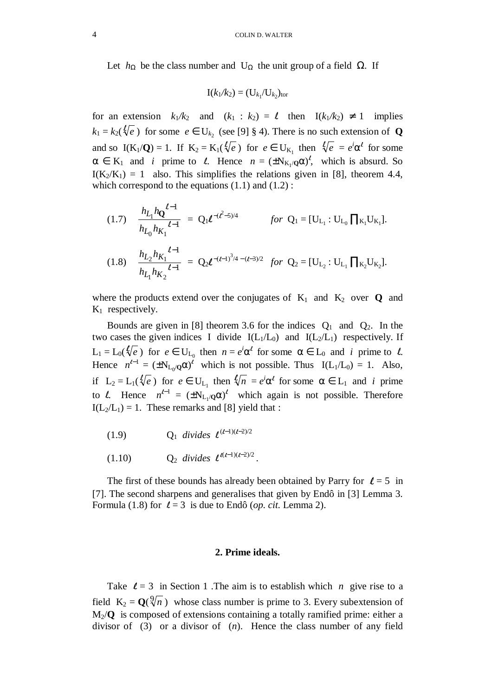Let  $h_{\Omega}$  be the class number and U<sub>Ω</sub> the unit group of a field Ω. If

$$
I(k_1/k_2) = (U_{k_1}/U_{k_2})_{\text{tor}}
$$

for an extension  $k_1/k_2$  and  $(k_1 : k_2) = l$  then  $I(k_1/k_2) \neq 1$  implies  $k_1 = k_2(\sqrt[4]{e})$  for some  $e \in U_{k_2}$  (see [9] § 4). There is no such extension of **Q** and so  $I(K_1/Q) = 1$ . If  $K_2 = K_1(\sqrt[\ell]{e})$  for  $e \in U_{K_1}$  then  $\sqrt[\ell]{e} = e^i \alpha^l$  for some  $\alpha \in K_1$  and *i* prime to  $\ell$ . Hence  $n = (\pm N_{K_1/Q}\alpha)^{\ell}$ , which is absurd. So  $I(K_2/K_1) = 1$  also. This simplifies the relations given in [8], theorem 4.4, which correspond to the equations  $(1.1)$  and  $(1.2)$ :

(1.7) 
$$
\frac{h_{L_1} h_{\mathbf{Q}}^{l-1}}{h_{L_0} h_{K_1}} = Q_1 t^{-(l^2-5)/4} \quad \text{for } Q_1 = [\mathbf{U}_{L_1} : \mathbf{U}_{L_0} \prod_{\mathbf{k}_1} \mathbf{U}_{K_1}].
$$
  
(1.8) 
$$
\frac{h_{L_2} h_{K_1}}{h_{L_1} h_{K_2}} = Q_2 t^{-(l-1)^3/4 - (l-3)/2} \quad \text{for } Q_2 = [\mathbf{U}_{L_2} : \mathbf{U}_{L_1} \prod_{\mathbf{k}_2} \mathbf{U}_{K_2}].
$$

where the products extend over the conjugates of  $K_1$  and  $K_2$  over **Q** and  $K_1$  respectively.

Bounds are given in [8] theorem 3.6 for the indices  $Q_1$  and  $Q_2$ . In the two cases the given indices I divide  $I(L_1/L_0)$  and  $I(L_2/L_1)$  respectively. If  $L_1 = L_0(\sqrt[\ell]{e})$  for  $e \in U_{L_0}$  then  $n = e^i\alpha^{\ell}$  for some  $\alpha \in L_0$  and *i* prime to  $\ell$ . Hence  $n^{t-1} = (\pm N_{L_0/Q}\alpha)^t$  which is not possible. Thus  $I(L_1/L_0) = 1$ . Also, if  $L_2 = L_1(\sqrt[\ell]{e})$  for  $e \in U_{L_1}$  then  $\sqrt[\ell]{n} = e^i \alpha^l$  for some  $\alpha \in L_1$  and *i* prime to  $\ell$ . Hence  $n^{\ell-1} = (\pm N_{L_1/Q} \alpha)^{\ell}$  which again is not possible. Therefore  $I(L_2/L_1) = 1$ . These remarks and [8] yield that :

- $(1.9)$  Q<sub>1</sub> *divides*  $\ell^{(\ell-1)(\ell-2)/2}$
- (1.10)  $Q_2 \ \text{divides} \ \ell^{ \ell(\ell-1)(\ell-2)/2 }$ .

The first of these bounds has already been obtained by Parry for  $\ell = 5$  in [7]. The second sharpens and generalises that given by Endô in [3] Lemma 3. Formula (1.8) for  $\ell = 3$  is due to Endô (*op. cit.* Lemma 2).

#### **2. Prime ideals.**

Take  $l = 3$  in Section 1 .The aim is to establish which *n* give rise to a field  $K_2 = Q(\sqrt[9]{n})$  whose class number is prime to 3. Every subextension of M2/**Q** is composed of extensions containing a totally ramified prime: either a divisor of (3) or a divisor of (*n*). Hence the class number of any field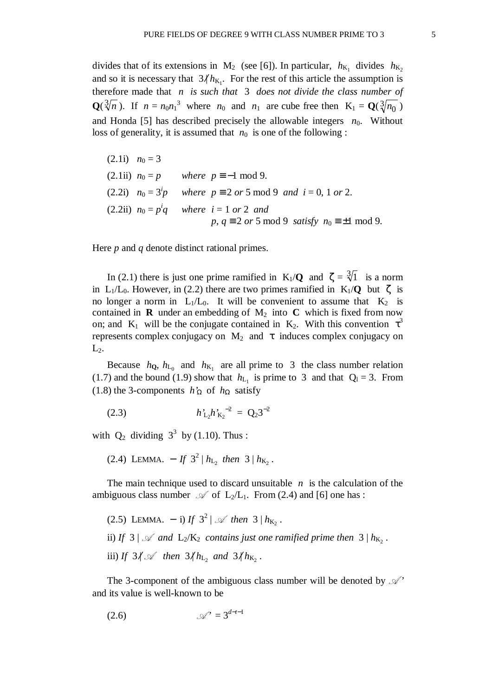divides that of its extensions in M<sub>2</sub> (see [6]). In particular,  $h_{K_1}$  divides  $h_{K_2}$ and so it is necessary that  $3/h_{K_1}$ . For the rest of this article the assumption is therefore made that *n is such that* 3 *does not divide the class number of*  $\mathbf{Q}(\sqrt[3]{n})$ . If  $n = n_0 n_1^3$  where  $n_0$  and  $n_1$  are cube free then  $K_1 = \mathbf{Q}(\sqrt[3]{n_0})$ and Honda [5] has described precisely the allowable integers  $n_0$ . Without loss of generality, it is assumed that  $n_0$  is one of the following :

 $(2.1i)$   $n_0 = 3$ (2.1ii)  $n_0 = p$  where  $p \equiv -1 \mod 9$ . (2.2i)  $n_0 = 3^i p$  where  $p \equiv 2 \text{ or } 5 \mod 9$  and  $i = 0, 1 \text{ or } 2$ .  $(2.2ii)$   $n_0 = p^i$ *where*  $i = 1$  *or* 2 *and p*,  $q \equiv 2$  *or* 5 mod 9 *satisfy*  $n_0 \equiv \pm 1$  mod 9.

Here *p* and *q* denote distinct rational primes.

In (2.1) there is just one prime ramified in  $K_1/Q$  and  $\zeta = \sqrt[3]{1}$  is a norm in L<sub>1</sub>/L<sub>0</sub>. However, in (2.2) there are two primes ramified in K<sub>1</sub>/Q but  $\zeta$  is no longer a norm in  $L_1/L_0$ . It will be convenient to assume that  $K_2$  is contained in **R** under an embedding of  $M_2$  into **C** which is fixed from now on; and  $K_1$  will be the conjugate contained in  $K_2$ . With this convention  $\tau^3$ represents complex conjugacy on  $M_2$  and  $\tau$  induces complex conjugacy on  $L_2$ .

Because  $h_{\text{Q}}$ ,  $h_{\text{L}_0}$  and  $h_{\text{K}_1}$  are all prime to 3 the class number relation (1.7) and the bound (1.9) show that  $h_{L_1}$  is prime to 3 and that  $Q_1 = 3$ . From (1.8) the 3-components  $h'_{\Omega}$  of  $h_{\Omega}$  satisfy

(2.3) 
$$
h_{\mathrm{L}_2}^{\prime} h_{\mathrm{K}_2}^{\prime -2} = Q_2 3^{-2}
$$

with  $Q_2$  dividing  $3^3$  by (1.10). Thus :

(2.4) LEMMA. – *If*  $3^2 | h_{L_2}$  then  $3 | h_{K_2}$ .

The main technique used to discard unsuitable *n* is the calculation of the ambiguous class number  $\mathcal A$  of  $L_2/L_1$ . From (2.4) and [6] one has :

\n- (2.5) Lemma. – i) If 
$$
3^2 \mid \mathcal{A}
$$
 then  $3 \mid h_{K_2}$ .
\n- ii) If  $3 \mid \mathcal{A}$  and  $L_2/K_2$  contains just one ramified prime then  $3 \mid h_{K_2}$ .
\n- iii) If  $3 \mathcal{A} \mathcal{A}$  then  $3 \mathcal{X} h_{L_2}$  and  $3 \mathcal{X} h_{K_2}$ .
\n

The 3-component of the ambiguous class number will be denoted by  $\mathcal{A}'$ and its value is well-known to be

$$
\mathscr{A}^{\prime} = 3^{d-t-1}
$$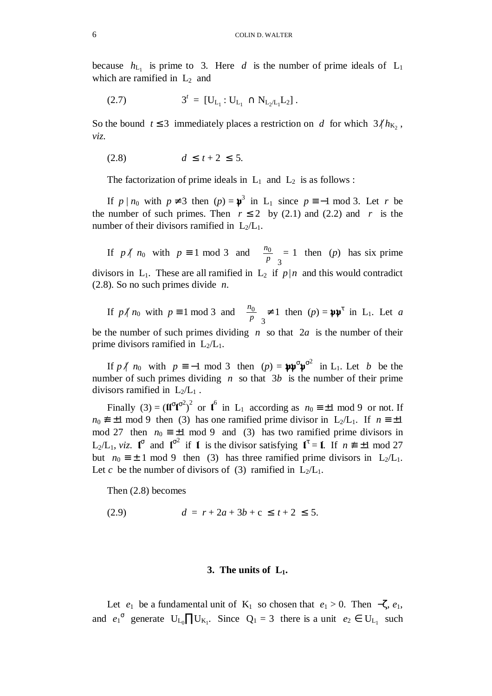because  $h_{L_1}$  is prime to 3. Here *d* is the number of prime ideals of  $L_1$ which are ramified in  $L_2$  and

(2.7) 
$$
3^t = [U_{L_1} : U_{L_1} \cap N_{L_2 L_1} L_2].
$$

So the bound  $t \leq 3$  immediately places a restriction on *d* for which  $3/h_{K_2}$ , *viz*.

$$
(2.8) \t d \leq t+2 \leq 5.
$$

The factorization of prime ideals in  $L_1$  and  $L_2$  is as follows :

If  $p | n_0$  with  $p \neq 3$  then  $(p) = \mathbf{p}^3$  in L<sub>1</sub> since  $p \equiv -1 \mod 3$ . Let *r* be the number of such primes. Then  $r \le 2$  by (2.1) and (2.2) and *r* is the number of their divisors ramified in  $L_2/L_1$ .

If  $p \nmid n_0$  with  $p \equiv 1 \mod 3$  and 3  $\frac{0}{2}$  $\left(\frac{n_0}{p}\right)$ ſ *p*  $\left(\frac{n_0}{n}\right) = 1$  then (*p*) has six prime divisors in  $L_1$ . These are all ramified in  $L_2$  if  $p|n$  and this would contradict (2.8). So no such primes divide *n*.

If  $p \nmid n_0$  with  $p \equiv 1 \mod 3$  and 3  $\frac{0}{2}$  $\left(\frac{n_0}{p}\right)$ ſ *p*  $\left(\frac{n_0}{p}\right)_2 \neq 1$  then  $(p) = \mathbf{\mathfrak{p}} \mathbf{\mathfrak{p}}^{\dagger}$  in L<sub>1</sub>. Let *a* 

be the number of such primes dividing *n* so that 2*a* is the number of their prime divisors ramified in  $L_2/L_1$ .

If  $p \nmid n_0$  with  $p \equiv -1 \mod 3$  then  $(p) = \mathbf{p} \mathbf{p}^{\sigma} \mathbf{p}^{\sigma^2}$  in L<sub>1</sub>. Let *b* be the ۲<br>۰ number of such primes dividing *n* so that 3*b* is the number of their prime divisors ramified in  $L_2/L_1$ .

Finally (3) =  $(\mathbf{I}^{\sigma})$  $\sigma^2$ )<sup>2</sup> or  $\mathbf{1}^6$  in L<sub>1</sub> according as  $n_0 \equiv \pm 1 \mod 9$  or not. If  $n_0 \neq \pm 1$  mod 9 then (3) has one ramified prime divisor in L<sub>2</sub>/L<sub>1</sub>. If  $n = \pm 1$ mod 27 then  $n_0 \equiv \pm 1 \mod 9$  and (3) has two ramified prime divisors in L<sub>2</sub>/L<sub>1</sub>, *viz*.  $\mathbf{I}^{\sigma}$  and  $\mathbf{I}^{\sigma^2}$  if  $\mathbf{I}$  is the divisor satisfying  $\mathbf{I}^{\tau} = \mathbf{I}$ . If  $n \neq \pm 1 \mod 27$ but  $n_0 \equiv \pm 1 \mod 9$  then (3) has three ramified prime divisors in L<sub>2</sub>/L<sub>1</sub>. Let *c* be the number of divisors of (3) ramified in  $L_2/L_1$ .

Then (2.8) becomes

$$
(2.9) \t d = r + 2a + 3b + c \le t + 2 \le 5.
$$

#### **3. The units of L1.**

Let  $e_1$  be a fundamental unit of  $K_1$  so chosen that  $e_1 > 0$ . Then  $-\zeta$ ,  $e_1$ , and  $e_1^{\sigma}$  generate  $U_{L_0} \prod U_{K_1}$ . Since  $Q_1 = 3$  there is a unit  $e_2 \in U_{L_1}$  such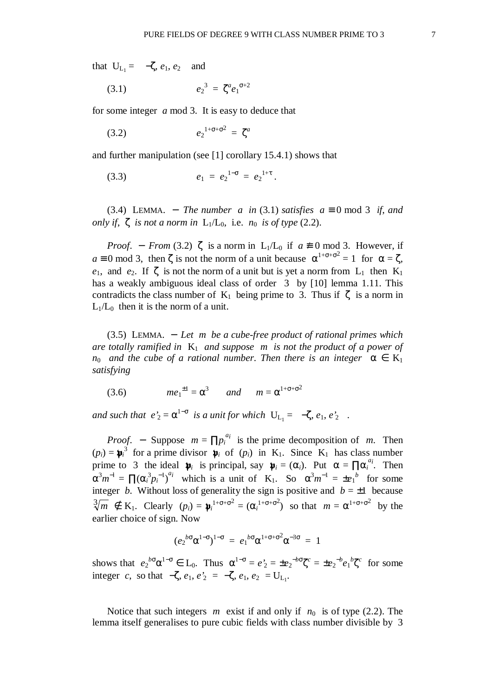that  $U_{L_1} = \langle -\zeta, e_1, e_2 \rangle$  and

(3.1) 
$$
e_2^3 = \zeta^a e_1^{\sigma+2}
$$

for some integer *a* mod 3. It is easy to deduce that

$$
(3.2) \t\t\t e_2^{1+\sigma+\sigma^2} = \zeta^a
$$

and further manipulation (see [1] corollary 15.4.1) shows that

(3.3) 
$$
e_1 = e_2^{1-\sigma} = e_2^{1+\tau}.
$$

(3.4) LEMMA. – *The number a in* (3.1) *satisfies a*  $\equiv$  0 mod 3 *if, and only if,*  $\zeta$  *is not a norm in*  $L_1/L_0$ , i.e.  $n_0$  *is of type* (2.2).

*Proof.* − *From* (3.2)  $\zeta$  is a norm in L<sub>1</sub>/L<sub>0</sub> if  $a \neq 0$  mod 3. However, if  $a \equiv 0 \mod 3$ , then  $\zeta$  is not the norm of a unit because  $\alpha^{1+\sigma+\sigma^2} = 1$  for  $\alpha = \zeta$ , *e*<sub>1</sub>, and *e*<sub>2</sub>. If  $\zeta$  is not the norm of a unit but is yet a norm from L<sub>1</sub> then K<sub>1</sub> has a weakly ambiguous ideal class of order 3 by [10] lemma 1.11. This contradicts the class number of  $K_1$  being prime to 3. Thus if  $\zeta$  is a norm in  $L_1/L_0$  then it is the norm of a unit.

(3.5) LEMMA. − *Let m be a cube-free product of rational primes which are totally ramified in* K<sup>1</sup> *and suppose m is not the product of a power of n*<sub>0</sub> and the cube of a rational number. Then there is an integer  $\alpha \in K_1$ *satisfying*

(3.6) 
$$
me_1^{\pm 1} = \alpha^3
$$
 and  $m = \alpha^{1+\sigma+\sigma^2}$ 

and such that  $e'_2 = \alpha^{1-\sigma}$  is a unit for which  $U_{L_1} = \langle -\zeta, e_1, e'_2 \rangle$ .

*Proof.* – Suppose  $m = \prod p_i^{a_i}$  is the prime decomposition of *m*. Then  $(p_i) = \mathbf{\mu}_i^3$  for a prime divisor  $\mathbf{\mu}_i$  of  $(p_i)$  in K<sub>1</sub>. Since K<sub>1</sub> has class number prime to 3 the ideal  $\mathbf{\psi}_i$  is principal, say  $\mathbf{\psi}_i = (\alpha_i)$ . Put  $\alpha = \prod_{i=1}^n \alpha_i^{a_i}$ . Then  $\alpha^3 m^{-1} = \prod (\alpha_i^3 p_i^{-1})^{a_i}$  which is a unit of K<sub>1</sub>. So  $\alpha^3 m^{-1} = \pm e_1^b$  for some integer *b*. Without loss of generality the sign is positive and  $b = \pm 1$  because  $\sqrt[3]{m} \notin K_1$ . Clearly  $(p_i) = \psi_i^{1+\sigma+\sigma^2} = (\alpha_i^{1+\sigma+\sigma^2})$  so that  $m = \alpha^{1+\sigma+\sigma^2}$  by the earlier choice of sign. Now

$$
(e_2{}^{b\sigma}\alpha^{1-\sigma})^{1-\sigma} = e_1{}^{b\sigma}\alpha^{1+\sigma+\sigma^2}\alpha^{-3\sigma} = 1
$$

shows that  $e_2{}^{b\sigma}\alpha^{1-\sigma} \in L_0$ . Thus  $\alpha^{1-\sigma} = e'_2 = \pm e_2{}^{-b\sigma}\zeta^c = \pm e_2{}^{-b}e_1{}^{b}\zeta^c$  for some integer *c*, so that  $\langle -\zeta, e_1, e_2' \rangle = \langle -\zeta, e_1, e_2 \rangle = U_{L_1}$ .

Notice that such integers *m* exist if and only if  $n_0$  is of type (2.2). The lemma itself generalises to pure cubic fields with class number divisible by 3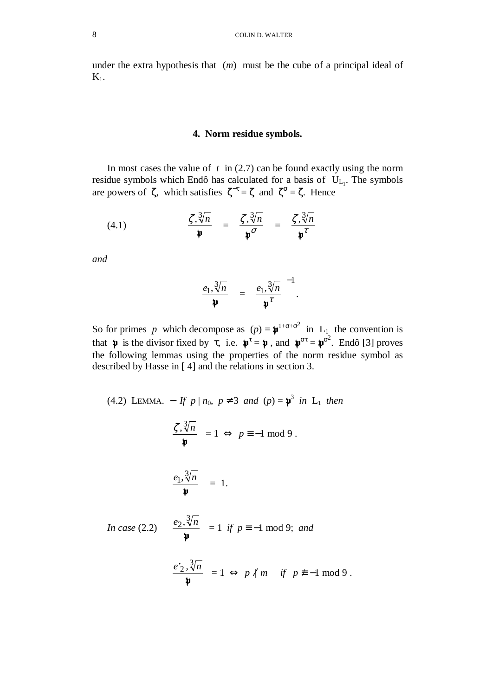under the extra hypothesis that (*m*) must be the cube of a principal ideal of  $K_1$ .

#### **4. Norm residue symbols.**

In most cases the value of  $t \in (2.7)$  can be found exactly using the norm residue symbols which Endô has calculated for a basis of  $U_{L_1}$ . The symbols are powers of  $\zeta$ , which satisfies  $\zeta^{-\tau} = \zeta$  and  $\zeta^{\sigma} = \zeta$ . Hence

(4.1) 
$$
\left(\frac{\zeta, \sqrt[3]{n}}{\mathfrak{p}}\right) = \left(\frac{\zeta, \sqrt[3]{n}}{\mathfrak{p}^{\sigma}}\right) = \left(\frac{\zeta, \sqrt[3]{n}}{\mathfrak{p}^{\tau}}\right)
$$

*and*

$$
\left(\frac{e_1,\sqrt[3]{n}}{\mathfrak{p}}\right)=\left(\frac{e_1,\sqrt[3]{n}}{\mathfrak{p}^{\tau}}\right)^{-1}.
$$

So for primes *p* which decompose as  $(p) = \psi^{1+\sigma+\sigma^2}$  in L<sub>1</sub> the convention is that  $\psi$  is the divisor fixed by  $\tau$ , i.e.  $\psi^{\tau} = \psi$ , and  $\psi^{\sigma \tau} = \psi^{\sigma^2}$ . Endô [3] proves the following lemmas using the properties of the norm residue symbol as described by Hasse in [ 4] and the relations in section 3.

(4.2) LEMMA. – If  $p | n_0, p \neq 3$  and  $(p) = \mathbf{p}^3$  in  $L_1$  then  $\bigg)$  $\left( \frac{1}{2} \right)$ I I l ſ  $\ddot{\phantom{0}}$  $\left(\frac{\zeta \cdot \sqrt[3]{n}}{n}\right) = 1 \Leftrightarrow p \equiv -1 \mod 9$ .  $\overline{\phantom{a}}$  $\lambda$ I I l ſ  $\ddot{\ }$ 3  $\left[\frac{e_1, \sqrt[3]{n}}{2}\right] = 1.$ *In case* (2.2)  $\left|\frac{e_2, \sqrt{n}}{\mathbf{v}}\right|$  $\overline{\phantom{a}}$  $\lambda$ I I l ſ  $\ddot{\phantom{0}}$ 3  $\left(\frac{e_2, \sqrt[3]{n}}{e_2, \sqrt[3]{n}}\right) = 1$  *if*  $p \equiv -1$  mod 9; *and* i.  $\overline{1}$  $\lambda$ I I l ſ  $\mathbf{r}$ 3  $\left(\frac{e^{\prime}2}{e^{\prime}}\right)^{3/n}$  = 1  $\Leftrightarrow p \nmid m$  *if*  $p \not\equiv -1 \mod 9$ .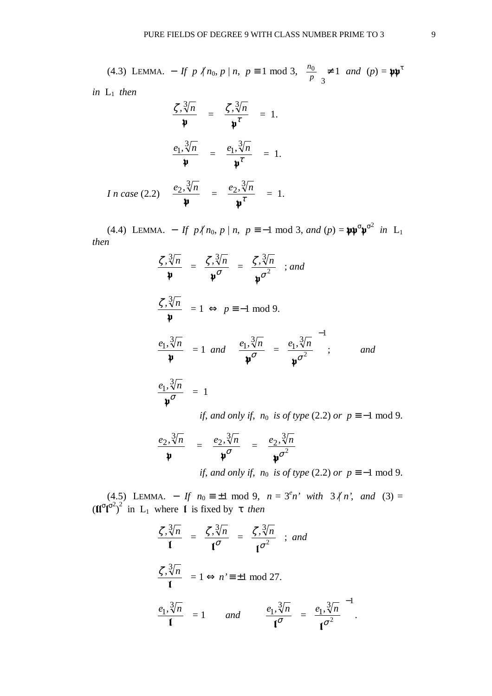(4.3) LEMMA. – *If*  $p \nmid n, p \equiv 1 \text{ mod } 3$ , 3  $rac{0}{2}$  $\left(\frac{n_0}{p}\right)$ ſ *p*  $\left(\frac{n_0}{p}\right)_2 \neq 1$  *and*  $(p) = \mathbf{\mathfrak{p}} \mathbf{\mathfrak{p}}^{\mathsf{T}}$ 

*in* L<sup>1</sup> *then*

$$
\left(\frac{\zeta, \sqrt[3]{n}}{\mathfrak{p}}\right) = \left(\frac{\zeta, \sqrt[3]{n}}{\mathfrak{p}^{\tau}}\right) = 1.
$$

$$
\left(\frac{e_1, \sqrt[3]{n}}{\mathfrak{p}}\right) = \left(\frac{e_1, \sqrt[3]{n}}{\mathfrak{p}^{\tau}}\right) = 1.
$$
  
*In case* (2.2) 
$$
\left(\frac{e_2, \sqrt[3]{n}}{\mathfrak{p}}\right) = \left(\frac{e_2, \sqrt[3]{n}}{\mathfrak{p}^{\tau}}\right) = 1.
$$

 $(4.4)$  LEMMA. – If  $p \nmid n, p \equiv -1 \mod 3$ , and  $(p) = \mathfrak{p} \mathfrak{p}^{\sigma} \mathfrak{p}$  $\sigma^2$  *in*  $L_1$ *then*

$$
\left(\frac{\zeta, \sqrt[3]{n}}{\mathbf{\psi}}\right) = \left(\frac{\zeta, \sqrt[3]{n}}{\mathbf{\psi}^{\sigma}}\right) = \left(\frac{\zeta, \sqrt[3]{n}}{\mathbf{\psi}^{\sigma^2}}\right); and
$$
\n
$$
\left(\frac{\zeta, \sqrt[3]{n}}{\mathbf{\psi}}\right) = 1 \iff p \equiv -1 \text{ mod } 9.
$$
\n
$$
\left(\frac{e_1, \sqrt[3]{n}}{\mathbf{\psi}}\right) = 1 \text{ and } \left(\frac{e_1, \sqrt[3]{n}}{\mathbf{\psi}^{\sigma}}\right) = \left(\frac{e_1, \sqrt[3]{n}}{\mathbf{\psi}^{\sigma^2}}\right)^{-1}; \text{ and}
$$
\n
$$
\left(\frac{e_1, \sqrt[3]{n}}{\mathbf{\psi}^{\sigma}}\right) = 1
$$
\nif and only if n, is of the (2.2) or n = -1.

*if*, *and only if*, *n*<sup>0</sup> *is of type* (2.2) *or*  $p \equiv -1 \text{ mod } 9$ .

$$
\left(\frac{e_2\sqrt[3]{n}}{\mathfrak{p}}\right) = \left(\frac{e_2\sqrt[3]{n}}{\mathfrak{p}^\sigma}\right) = \left(\frac{e_2\sqrt[3]{n}}{\mathfrak{p}^{\sigma^2}}\right)
$$
  
if, and only if,  $n_0$  is of type (2.2) or  $p \equiv -1 \mod 9$ .

(4.5) LEMMA. – *If*  $n_0 \equiv \pm 1 \mod 9$ ,  $n = 3^e n'$  with  $3 \nmid n'$ , and (3) =  $(\mathfrak{u}^{\sigma}% )_{\sigma}=\mathfrak{u}^{\sigma}(\mathfrak{u}^{\sigma}% )_{\sigma}$  $\sigma^2$ <sup>2</sup> in L<sub>1</sub> where **I** is fixed by  $\tau$  *then* 

$$
\left(\frac{\zeta, \sqrt[3]{n}}{\mathbf{I}}\right) = \left(\frac{\zeta, \sqrt[3]{n}}{\mathbf{I}^{\sigma}}\right) = \left(\frac{\zeta, \sqrt[3]{n}}{\mathbf{I}^{\sigma^2}}\right); \text{ and}
$$

$$
\left(\frac{\zeta, \sqrt[3]{n}}{\mathbf{I}}\right) = 1 \Leftrightarrow n' \equiv \pm 1 \mod 27.
$$

$$
\left(\frac{e_1, \sqrt[3]{n}}{\mathbf{I}}\right) = 1 \quad \text{ and } \quad \left(\frac{e_1, \sqrt[3]{n}}{\mathbf{I}^{\sigma}}\right) = \left(\frac{e_1, \sqrt[3]{n}}{\mathbf{I}^{\sigma^2}}\right)^{-1}.
$$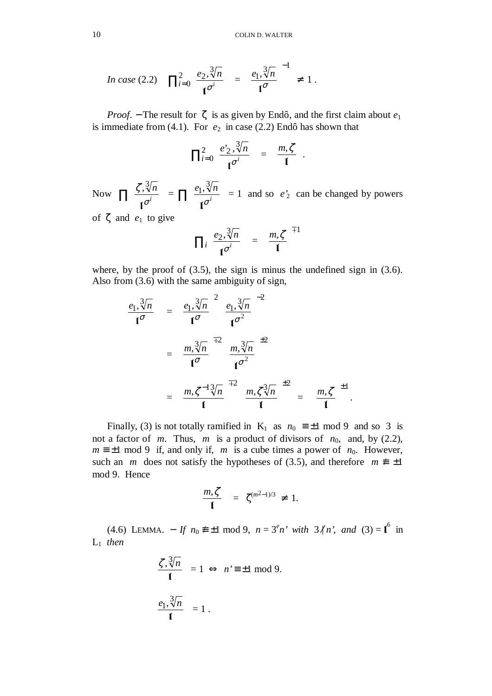*In case* (2.2) 
$$
\Pi_{i=0}^{2} \left( \frac{e_2 \sqrt[3]{n}}{\mathbf{I}^{\sigma^i}} \right) = \left( \frac{e_1 \sqrt[3]{n}}{\mathbf{I}^{\sigma}} \right)^{-1} \neq 1.
$$

*Proof.* – The result for  $\zeta$  is as given by Endô, and the first claim about  $e_1$ is immediate from  $(4.1)$ . For  $e_2$  in case  $(2.2)$  Endô has shown that

$$
\Pi_{i=0}^{2}\left(\frac{e_{2}^{i},\sqrt[3]{n}}{\mathbf{I}^{\sigma^{i}}}\right)=\left(\frac{m,\zeta}{\mathbf{I}}\right).
$$

Now  $\prod_{i} \frac{\zeta, \sqrt{n}}{n^i}$  $\overline{1}$  $\lambda$ I I l ſ *i n* σ ζ  $\ddot{\phantom{0}}$  $\left(\frac{3}{\sigma^i}\right) = \prod \left(\frac{e_1, \sqrt[3]{n}}{\sigma^i}\right)$  $\overline{1}$  $\lambda$ I I l ſ *i*  $e_1, \sqrt[3]{n}$  $\mathfrak{l}^{\sigma}$ 3  $\left| \frac{\partial}{\partial t} \right| = 1$  and so  $e'_2$  can be changed by powers of  $\zeta$  and  $e_1$  to give

$$
\Pi_i\left(\frac{e_2,\sqrt[3]{n}}{\mathbf{I}^{\sigma^i}}\right) = \left(\frac{m,\zeta}{\mathbf{I}}\right)^{\mp 1}
$$

where, by the proof of (3.5), the sign is minus the undefined sign in (3.6). Also from (3.6) with the same ambiguity of sign,

$$
\left(\frac{e_1, \sqrt[3]{n}}{\mathbf{I}^{\sigma}}\right) = \left(\frac{e_1, \sqrt[3]{n}}{\mathbf{I}^{\sigma}}\right)^2 \left(\frac{e_1, \sqrt[3]{n}}{\mathbf{I}^{\sigma^2}}\right)^{-2}
$$
\n
$$
= \left(\frac{m, \sqrt[3]{n}}{\mathbf{I}^{\sigma}}\right)^{\mp 2} \left(\frac{m, \sqrt[3]{n}}{\mathbf{I}^{\sigma^2}}\right)^{\pm 2}
$$
\n
$$
= \left(\frac{m, \zeta^{-1} \sqrt[3]{n}}{\mathbf{I}}\right)^{\mp 2} \left(\frac{m, \zeta \sqrt[3]{n}}{\mathbf{I}}\right)^{\pm 2} = \left(\frac{m, \zeta}{\mathbf{I}}\right)^{\pm 1}.
$$

Finally, (3) is not totally ramified in K<sub>1</sub> as  $n_0 \equiv \pm 1 \mod 9$  and so 3 is not a factor of *m*. Thus, *m* is a product of divisors of  $n_0$ , and, by (2.2),  $m \equiv \pm 1 \mod 9$  if, and only if, *m* is a cube times a power of *n*<sub>0</sub>. However, such an *m* does not satisfy the hypotheses of (3.5), and therefore  $m \neq \pm 1$ mod 9. Hence

$$
\left(\frac{m,\zeta}{\mathbf{I}}\right) = \zeta^{(m^2-1)/3} \neq 1.
$$

(4.6) LEMMA. – If  $n_0 \neq \pm 1 \mod 9$ ,  $n = 3^e n'$  with  $3 \nmid n'$ , and  $(3) = \mathbf{1}^6$  in  $L_1$  *then* 

$$
\left(\frac{\zeta, \sqrt[3]{n}}{1}\right) = 1 \iff n' \equiv \pm 1 \text{ mod } 9.
$$

$$
\left(\frac{e_1, \sqrt[3]{n}}{1}\right) = 1.
$$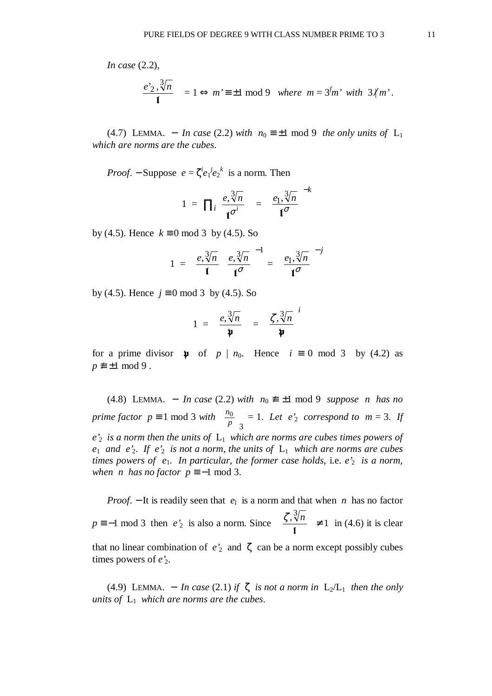*In case* (2.2),

$$
\left(\frac{e_2^{\prime}, \sqrt[3]{n}}{\mathbf{I}}\right) = 1 \Leftrightarrow m' \equiv \pm 1 \mod 9 \text{ where } m = 3^f m' \text{ with } 3/m'.
$$

(4.7) LEMMA. – *In case* (2.2) *with*  $n_0 \equiv \pm 1 \mod 9$  *the only units of* L<sub>1</sub> *which are norms are the cubes*.

*Proof.* – Suppose  $e = \zeta^i e_1^j e_2^k$  is a norm. Then

$$
1 = \Pi_i \left( \frac{e, \sqrt[3]{n}}{\mathbf{I}^{\sigma^i}} \right) = \left( \frac{e_1, \sqrt[3]{n}}{\mathbf{I}^{\sigma}} \right)^{-k}
$$

by (4.5). Hence *k* ≡ 0 mod 3 by (4.5). So

$$
1 = \left(\frac{e, \sqrt[3]{n}}{\mathbf{I}}\right)\left(\frac{e, \sqrt[3]{n}}{\mathbf{I}^{\sigma}}\right)^{-1} = \left(\frac{e_1, \sqrt[3]{n}}{\mathbf{I}^{\sigma}}\right)^{-j}
$$

by (4.5). Hence *j* ≡ 0 mod 3 by (4.5). So

$$
1 = \left(\frac{e, \sqrt[3]{n}}{\mathfrak{p}}\right) = \left(\frac{\zeta, \sqrt[3]{n}}{\mathfrak{p}}\right)^i
$$

for a prime divisor  $\psi$  of  $p \mid n_0$ . Hence  $i \equiv 0 \mod 3$  by (4.2) as  $p \not\equiv \pm 1 \mod 9$ .

(4.8) LEMMA. – *In case* (2.2) *with*  $n_0 \neq \pm 1 \text{ mod } 9$  *suppose n has no prime factor*  $p \equiv 1 \text{ mod } 3$  *with* 3  $rac{0}{2}$  $\left(\frac{n_0}{p}\right)$ ſ *p*  $\left(\frac{n_0}{n}\right)$  = 1. Let e'<sub>2</sub> correspond to  $m = 3$ . If  $e'$ <sup>2</sup> is a norm then the units of  $L_1$  *which are norms are cubes times powers of*  $e_1$  and  $e'_2$ . If  $e'_2$  is not a norm, the units of  $L_1$  which are norms are cubes *times powers of e*1. *In particular*, *the former case holds*, i.e. *e'*2 *is a norm*, *when n has no factor*  $p \equiv -1 \mod 3$ *.* 

*Proof.*  $-$  It is readily seen that  $e_1$  is a norm and that when *n* has no factor  $p \equiv -1 \mod 3$  then *e'*<sub>2</sub> is also a norm. Since  $\frac{5 \cdot \sqrt{n}}{1}$  $\overline{1}$  $\overline{a}$ I I l ſ  $\ddot{\phantom{0}}$  $\left(\frac{\zeta}{\zeta}, \frac{3\sqrt{n}}{n}\right) \neq 1$  in (4.6) it is clear that no linear combination of  $e'_2$  and  $\zeta$  can be a norm except possibly cubes times powers of *e'*2.

(4.9) LEMMA. – *In case* (2.1) *if*  $\zeta$  *is not a norm in*  $L_2/L_1$  *then the only units of*  $L_1$  *which are norms are the cubes.*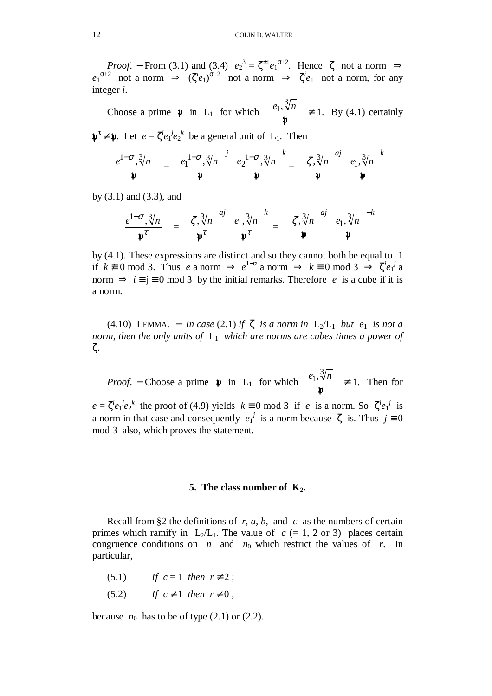*Proof.* – From (3.1) and (3.4)  $e_2^3 = \zeta^{\pm 1} e_1^{\sigma+2}$ . Hence  $\zeta$  not a norm  $\Rightarrow$  $e_1^{\sigma+2}$  not a norm  $\Rightarrow$   $(\zeta^i e_1)^{\sigma+2}$  not a norm  $\Rightarrow$   $\zeta^i e_1$  not a norm, for any integer *i*.

Choose a prime  $\mathfrak{p}$  in L<sub>1</sub> for which  $\left|\frac{e_1, \forall n}{\mathfrak{p}}\right|$  $\bigg)$  $\overline{\phantom{a}}$ I I l ſ  $\ddot{\ }$ 3  $\left\{\frac{e_1, \sqrt[3]{n}}{e_1}, \frac{e_2, \sqrt[3]{n}}{e_2}, \frac{e_1, \sqrt[3]{n}}{e_1}, \frac{e_2, \sqrt[3]{n}}{e_2}, \frac{e_2, \sqrt[3]{n}}{e_2}, \frac{e_1, \sqrt[3]{n}}{e_2}, \frac{e_2, \sqrt[3]{n}}{e_2}, \frac{e_2, \sqrt[3]{n}}{e_2}, \frac{e_2, \sqrt[3]{n}}{e_2}, \frac{e_2, \sqrt[3]{n}}{e_2}, \frac{e_2, \sqrt[3]{n}}{e_2}, \frac{e_2, \$  $\ddot{\phantom{0}}$  $\tau \neq \mu$ . Let  $e = \zeta^i e_1^j e_2^k$  be a general unit of L<sub>1</sub>. Then

$$
\left(\frac{e^{1-\sigma} \sqrt[3]{n}}{\mathfrak{p}}\right) = \left(\frac{e_1^{1-\sigma} \sqrt[3]{n}}{\mathfrak{p}}\right)^j \left(\frac{e_2^{1-\sigma} \sqrt[3]{n}}{\mathfrak{p}}\right)^k = \left(\frac{\zeta \sqrt[3]{n}}{\mathfrak{p}}\right)^{aj} \left(\frac{e_1 \sqrt[3]{n}}{\mathfrak{p}}\right)^k
$$

by (3.1) and (3.3), and

$$
\left(\frac{e^{1-\sigma}, \sqrt[3]{n}}{\mathfrak{p}^{\tau}}\right) = \left(\frac{\zeta, \sqrt[3]{n}}{\mathfrak{p}^{\tau}}\right)^{dj}\left(\frac{e_1, \sqrt[3]{n}}{\mathfrak{p}^{\tau}}\right)^k = \left(\frac{\zeta, \sqrt[3]{n}}{\mathfrak{p}}\right)^{dj}\left(\frac{e_1, \sqrt[3]{n}}{\mathfrak{p}}\right)^{-k}
$$

by (4.1). These expressions are distinct and so they cannot both be equal to 1 if  $k \neq 0 \text{ mod } 3$ . Thus *e* a norm  $\Rightarrow e^{1-\sigma}$  a norm  $\Rightarrow k \equiv 0 \text{ mod } 3 \Rightarrow \zeta^i e_1^j$  a norm  $\Rightarrow i \equiv j \equiv 0 \mod 3$  by the initial remarks. Therefore *e* is a cube if it is a norm.

(4.10) LEMMA. – *In case* (2.1) *if*  $\zeta$  *is a norm in*  $L_2/L_1$  *but e<sub>1</sub> is not a norm, then the only units of*  $L_1$  *which are norms are cubes times a power of* ζ.

*Proof.* – Choose a prime  $\mathfrak{p}$  in L<sub>1</sub> for which  $\left|\frac{e_1, \forall n}{\mathfrak{p}}\right|$  $\overline{\phantom{a}}$  $\lambda$ I I l ſ  $\ddot{\ }$ 3  $\left\{\frac{e_1, \sqrt[3]{n}}{e_1}, \frac{e_2}{e_2}\right\} \neq 1$ . Then for  $e = \zeta^i e_1^j e_2^k$  the proof of (4.9) yields  $k \equiv 0 \mod 3$  if *e* is a norm. So  $\zeta^i e_1^j$  is a norm in that case and consequently  $e_1^j$  is a norm because  $\zeta$  is. Thus  $j \equiv 0$ mod 3 also, which proves the statement.

### **5. The class number of K2.**

Recall from §2 the definitions of *r*, *a*, *b*,and *c* as the numbers of certain primes which ramify in  $L_2/L_1$ . The value of  $c = 1, 2$  or 3) places certain congruence conditions on *n* and  $n_0$  which restrict the values of *r*. In particular,

- (5.1) *If*  $c = 1$  *then*  $r \neq 2$ ;
- $(5.2)$  *If c*  $\neq$  1 *then*  $r \neq 0$ ;

because  $n_0$  has to be of type (2.1) or (2.2).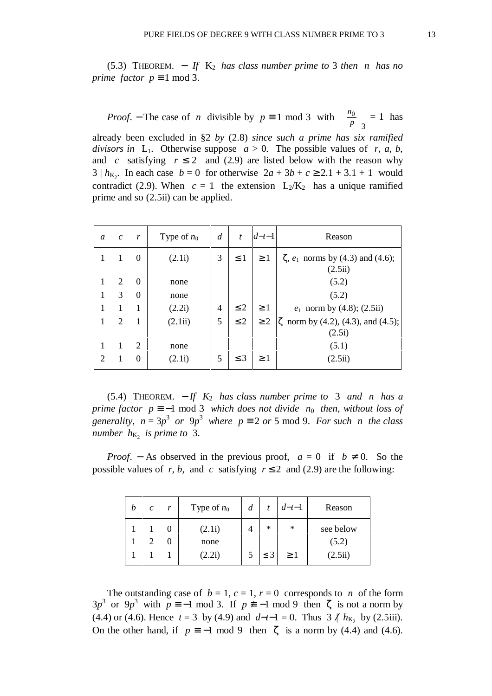(5.3) THEOREM. − *If* K2 *has class number prime to* 3 *then n has no prime factor*  $p \equiv 1 \text{ mod } 3$ .

*Proof.* – The case of *n* divisible by  $p \equiv 1 \text{ mod } 3$  with 3  $\frac{0}{2}$  $\left(\frac{n_0}{p}\right)$ ſ *p*  $\left(\frac{n_0}{n}\right)$  = 1 has already been excluded in §2 *by* (2.8) *since such a prime has six ramified divisors in*  $L_1$ . Otherwise suppose  $a > 0$ . The possible values of *r*, *a*, *b*,

and *c* satisfying  $r \leq 2$  and (2.9) are listed below with the reason why 3 |  $h_{K_2}$ . In each case  $b = 0$  for otherwise  $2a + 3b + c \ge 2.1 + 3.1 + 1$  would contradict (2.9). When  $c = 1$  the extension  $L_2/K_2$  has a unique ramified prime and so (2.5ii) can be applied.

| a                           | $\mathcal{C}$ | $\mathbf{r}$   | Type of $n_0$ | $\overline{d}$ | $\boldsymbol{t}$ | $d-t-1$  | Reason                                               |
|-----------------------------|---------------|----------------|---------------|----------------|------------------|----------|------------------------------------------------------|
|                             | 1             | $\theta$       | (2.1i)        | 3              | $\leq 1$         | $\geq 1$ | $\zeta$ , $e_1$ norms by (4.3) and (4.6);<br>(2.5ii) |
| 1                           | 2             | $\theta$       | none          |                |                  |          | (5.2)                                                |
| 1                           | 3             | 0              | none          |                |                  |          | (5.2)                                                |
| 1                           | 1             | 1              | (2.2i)        | $\overline{4}$ | $\leq$ 2         | $\geq 1$ | $e_1$ norm by (4.8); (2.5ii)                         |
| 1                           | 2             | $\overline{1}$ | (2.1ii)       | 5              | $\leq$ 2         | $\geq$ 2 | $\zeta$ norm by (4.2), (4.3), and (4.5);<br>(2.5i)   |
|                             |               | 2              | none          |                |                  |          | (5.1)                                                |
| $\mathcal{D}_{\mathcal{A}}$ | 1             | 0              | (2.1i)        | 5              | $\leq$ 3         | >1       | (2.5ii)                                              |

(5.4) THEOREM. − *If K*2 *has class number prime to* 3 *and n has a prime factor*  $p \equiv -1 \mod 3$  *which does not divide*  $n_0$  *then, without loss of generality,*  $n = 3p^3$  *or*  $9p^3$  *where*  $p \equiv 2$  *or* 5 mod 9. *For such n the class number*  $h_{K_2}$  *is prime to* 3.

*Proof.* – As observed in the previous proof,  $a = 0$  if  $b \ne 0$ . So the possible values of *r*, *b*, and *c* satisfying  $r \le 2$  and (2.9) are the following:

| $\mathcal{C}_{0}^{0}$ |        | Type of $n_0$ | $\boldsymbol{d}$ |          | $d-t-1$  | Reason    |
|-----------------------|--------|---------------|------------------|----------|----------|-----------|
|                       |        | (2.1i)        |                  | $\ast$   | ∗        | see below |
|                       | $_{0}$ | none          |                  |          |          | (5.2)     |
|                       |        | (2.2i)        | C                | $\leq$ 3 | $\geq 1$ | (2.5ii)   |

The outstanding case of  $b = 1$ ,  $c = 1$ ,  $r = 0$  corresponds to *n* of the form  $3p^3$  or  $9p^3$  with  $p \equiv -1 \mod 3$ . If  $p \not\equiv -1 \mod 9$  then  $\zeta$  is not a norm by (4.4) or (4.6). Hence  $t = 3$  by (4.9) and  $d-t-1 = 0$ . Thus  $3 \nmid h_{K_2}$  by (2.5iii). On the other hand, if  $p \equiv -1 \mod 9$  then  $\zeta$  is a norm by (4.4) and (4.6).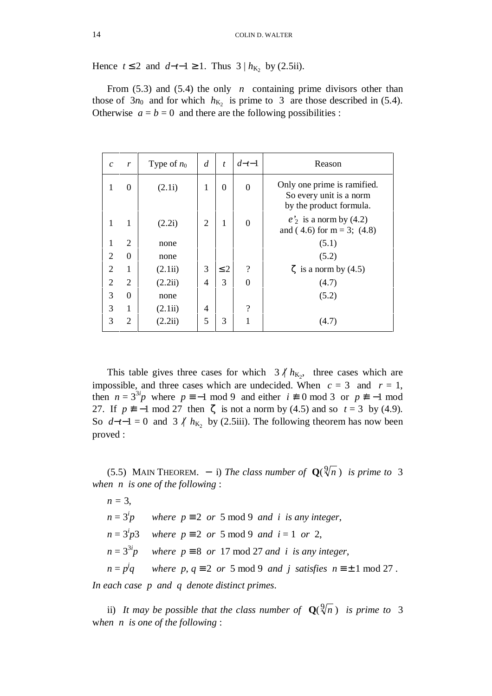Hence *t* ≤ 2 and *d*−*t*−1 ≥ 1. Thus  $3 | h_{K_2}$  by (2.5ii).

From  $(5.3)$  and  $(5.4)$  the only *n* containing prime divisors other than those of  $3n_0$  and for which  $h_{K_2}$  is prime to 3 are those described in (5.4). Otherwise  $a = b = 0$  and there are the following possibilities :

| $\mathcal{C}$  | $\boldsymbol{r}$ | Type of $n_0$ | $\overline{d}$ | $\boldsymbol{t}$ | $d-t-1$        | Reason                                                                            |
|----------------|------------------|---------------|----------------|------------------|----------------|-----------------------------------------------------------------------------------|
| 1              | $\theta$         | (2.1i)        | 1              | $\theta$         | $\theta$       | Only one prime is ramified.<br>So every unit is a norm<br>by the product formula. |
| 1              | 1                | (2.2i)        | $\overline{2}$ | 1                | $\overline{0}$ | $e'_2$ is a norm by (4.2)<br>and $(4.6)$ for m = 3; $(4.8)$                       |
| 1              | $\overline{2}$   | none          |                |                  |                | (5.1)                                                                             |
| 2              | $\boldsymbol{0}$ | none          |                |                  |                | (5.2)                                                                             |
| $\overline{2}$ | $\mathbf{1}$     | (2.1ii)       | 3              | $\leq$ 2         | $\gamma$       | $\zeta$ is a norm by (4.5)                                                        |
| $\overline{2}$ | $\overline{2}$   | (2.2ii)       | 4              | 3                | $\theta$       | (4.7)                                                                             |
| 3              | $\boldsymbol{0}$ | none          |                |                  |                | (5.2)                                                                             |
| 3              | $\mathbf{1}$     | (2.1ii)       | 4              |                  | ?              |                                                                                   |
| 3              | $\overline{2}$   | (2.2ii)       | 5              | 3                |                | (4.7)                                                                             |
|                |                  |               |                |                  |                |                                                                                   |

This table gives three cases for which  $3 / h_{K_2}$ , three cases which are impossible, and three cases which are undecided. When  $c = 3$  and  $r = 1$ , then  $n = 3^{3i}p$  where  $p \equiv -1 \mod 9$  and either  $i \not\equiv 0 \mod 3$  or  $p \not\equiv -1 \mod 1$ 27. If  $p ≠ -1$  mod 27 then  $\zeta$  is not a norm by (4.5) and so  $t = 3$  by (4.9). So  $d-t-1 = 0$  and  $3 \nmid h_{K_2}$  by (2.5iii). The following theorem has now been proved :

(5.5) MAIN THEOREM.  $-$  i) The class number of  $\mathbf{Q}(\sqrt[9]{n})$  is prime to 3 *when n is one of the following* :

 $n = 3$ .  $n = 3^{i}p$ *where*  $p \equiv 2$  *or 5 mod 9 and i is any integer,*  $n = 3^{i}p3$  where  $p \equiv 2$  *or* 5 mod 9 *and i* = 1 *or* 2,  $n = 3^{3i}p$  where  $p \equiv 8$  *or* 17 mod 27 *and i is any integer*,  $n = p^j$ *where p*,  $q \equiv 2$  *or* 5 mod 9 *and j satisfies*  $n \equiv \pm 1 \mod 27$ .

*In each case p and q denote distinct primes*.

ii) It may be possible that the class number of  $\mathbf{Q}(\sqrt[9]{n})$  is prime to 3 w*hen n is one of the following* :